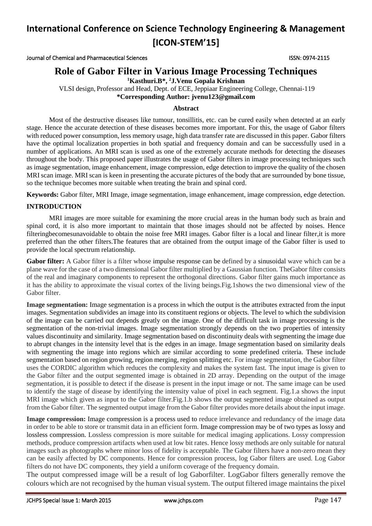Journal of Chemical and Pharmaceutical Sciences ISSN: 0974-2115

## **Role of Gabor Filter in Various Image Processing Techniques**

**<sup>1</sup>Kasthuri.B\*, <sup>2</sup>J.Venu Gopala Krishnan**

VLSI design, Professor and Head, Dept. of ECE, Jeppiaar Engineering College, Chennai-119 **\*Corresponding Author: [jvenu123@gmail.com](mailto:jvenu123@gmail.com)**

### **Abstract**

Most of the destructive diseases like tumour, tonsillitis, etc. can be cured easily when detected at an early stage. Hence the accurate detection of these diseases becomes more important. For this, the usage of Gabor filters with reduced power consumption, less memory usage, high data transfer rate are discussed in this paper. Gabor filters have the optimal localization properties in both spatial and frequency domain and can be successfully used in a number of applications. An MRI scan is used as one of the extremely accurate methods for detecting the diseases throughout the body. This proposed paper illustrates the usage of Gabor filters in image processing techniques such as image segmentation, image enhancement, image compression, edge detection to improve the quality of the chosen MRI scan image. MRI scan is keen in presenting the accurate pictures of the body that are surrounded by bone tissue, so the technique becomes more suitable when treating the brain and spinal cord.

**Keywords:** Gabor filter, MRI Image, image segmentation, image enhancement, image compression, edge detection.

## **INTRODUCTION**

MRI images are more suitable for examining the more crucial areas in the human body such as brain and spinal cord, it is also more important to maintain that those images should not be affected by noises. Hence filteringbecomesunavoidable to obtain the noise free MRI images. Gabor filter is a local and linear filter,it is more preferred than the other filters.The features that are obtained from the output image of the Gabor filter is used to provide the local spectrum relationship.

**Gabor filter:** A Gabor filter is a filter whose impulse response can be defined by a sinusoidal wave which can be a plane wave for the case of a two dimensional Gabor filter multiplied by a Gaussian function. TheGabor filter consists of the real and imaginary components to represent the orthogonal directions. Gabor filter gains much importance as it has the ability to approximate the visual cortex of the living beings.Fig.1shows the two dimensional view of the Gabor filter.

**Image segmentation:** Image segmentation is a process in which the output is the attributes extracted from the input images. Segmentation subdivides an image into its constituent regions or objects. The level to which the subdivision of the image can be carried out depends greatly on the image. One of the difficult task in image processing is the segmentation of the non-trivial images. Image segmentation strongly depends on the two properties of intensity values discontinuity and similarity. Image segmentation based on discontinuity deals with segmenting the image due to abrupt changes in the intensity level that is the edges in an image. Image segmentation based on similarity deals with segmenting the image into regions which are similar according to some predefined criteria. These include segmentation based on region growing, region merging, region splitting etc. For image segmentation, the Gabor filter uses the CORDIC algorithm which reduces the complexity and makes the system fast. The input image is given to the Gabor filter and the output segmented image is obtained in 2D array. Depending on the output of the image segmentation, it is possible to detect if the disease is present in the input image or not. The same image can be used to identify the stage of disease by identifying the intensity value of pixel in each segment. Fig.1.a shows the input MRI image which given as input to the Gabor filter.Fig.1.b shows the output segmented image obtained as output from the Gabor filter. The segmented output image from the Gabor filter provides more details about the input image.

**Image compression:** Image compression is a process used to reduce irrelevance and redundancy of the image data in order to be able to store or transmit data in an efficient form. Image compression may be of two types as lossy and lossless compression. Lossless compression is more suitable for medical imaging applications. Lossy compression methods, produce compression artifacts when used at low bit rates. Hence lossy methods are only suitable for natural images such as photographs where minor loss of fidelity is acceptable. The Gabor filters have a non-zero mean they can be easily affected by DC components. Hence for compression process, log Gabor filters are used. Log Gabor filters do not have DC components, they yield a uniform coverage of the frequency domain.

The output compressed image will be a result of log Gaborfilter. LogGabor filters generally remove the colours which are not recognised by the human visual system. The output filtered image maintains the pixel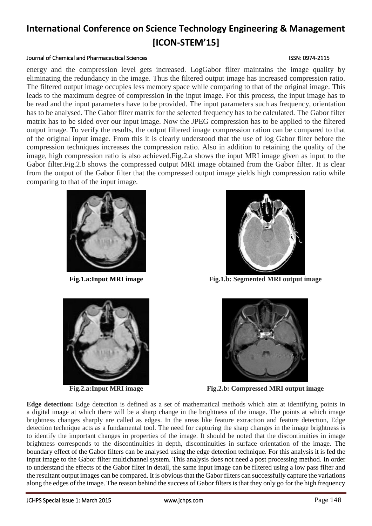### Journal of Chemical and Pharmaceutical Sciences **ISSN: 0974-2115** ISSN: 0974-2115

energy and the compression level gets increased. LogGabor filter maintains the image quality by eliminating the redundancy in the image. Thus the filtered output image has increased compression ratio. The filtered output image occupies less memory space while comparing to that of the original image. This leads to the maximum degree of compression in the input image. For this process, the input image has to be read and the input parameters have to be provided. The input parameters such as frequency, orientation has to be analysed. The Gabor filter matrix for the selected frequency has to be calculated. The Gabor filter matrix has to be sided over our input image. Now the JPEG compression has to be applied to the filtered output image. To verify the results, the output filtered image compression ration can be compared to that of the original input image. From this it is clearly understood that the use of log Gabor filter before the compression techniques increases the compression ratio. Also in addition to retaining the quality of the image, high compression ratio is also achieved.Fig.2.a shows the input MRI image given as input to the Gabor filter.Fig.2.b shows the compressed output MRI image obtained from the Gabor filter. It is clear from the output of the Gabor filter that the compressed output image yields high compression ratio while comparing to that of the input image.







**Fig.1.a:Input MRI image Fig.1.b: Segmented MRI output image**



**Fig.2.a:Input MRI image Fig.2.b: Compressed MRI output image**

**Edge detection:** Edge detection is defined as a set of mathematical methods which aim at identifying points in a digital image at which there will be a sharp change in the brightness of the image. The points at which image brightness changes sharply are called as edges. In the areas like feature extraction and feature detection, Edge detection technique acts as a fundamental tool. The need for capturing the sharp changes in the image brightness is to identify the important changes in properties of the image. It should be noted that the discontinuities in image brightness corresponds to the discontinuities in depth, discontinuities in surface orientation of the image. The boundary effect of the Gabor filters can be analysed using the edge detection technique. For this analysis it is fed the input image to the Gabor filter multichannel system. This analysis does not need a post processing method. In order to understand the effects of the Gabor filter in detail, the same input image can be filtered using a low pass filter and the resultant output images can be compared. It is obvious that the Gabor filters can successfully capture the variations along the edges of the image. The reason behind the success of Gabor filters is that they only go for the high frequency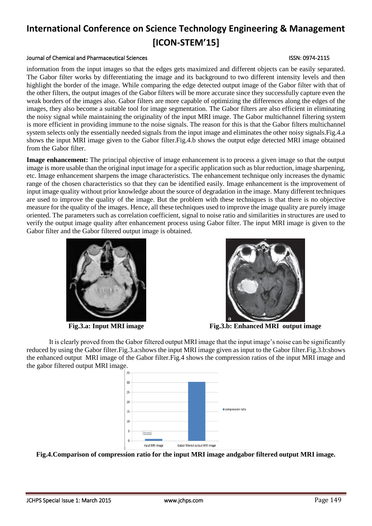#### Journal of Chemical and Pharmaceutical Sciences **ISSN: 0974-2115** ISSN: 0974-2115

information from the input images so that the edges gets maximized and different objects can be easily separated. The Gabor filter works by differentiating the image and its background to two different intensity levels and then highlight the border of the image. While comparing the edge detected output image of the Gabor filter with that of the other filters, the output images of the Gabor filters will be more accurate since they successfully capture even the weak borders of the images also. Gabor filters are more capable of optimizing the differences along the edges of the images, they also become a suitable tool for image segmentation. The Gabor filters are also efficient in eliminating the noisy signal while maintaining the originality of the input MRI image. The Gabor multichannel filtering system is more efficient in providing immune to the noise signals. The reason for this is that the Gabor filters multichannel system selects only the essentially needed signals from the input image and eliminates the other noisy signals.Fig.4.a shows the input MRI image given to the Gabor filter.Fig.4.b shows the output edge detected MRI image obtained from the Gabor filter.

**Image enhancement:** The principal objective of image enhancement is to process a given image so that the output image is more usable than the original input image for a specific application such as blur reduction, image sharpening, etc. Image enhancement sharpens the image characteristics. The enhancement technique only increases the dynamic range of the chosen characteristics so that they can be identified easily. Image enhancement is the improvement of input image quality without prior knowledge about the source of degradation in the image. Many different techniques are used to improve the quality of the image. But the problem with these techniques is that there is no objective measure for the quality of the images. Hence, all these techniques used to improve the image quality are purely image oriented. The parameters such as correlation coefficient, signal to noise ratio and similarities in structures are used to verify the output image quality after enhancement process using Gabor filter. The input MRI image is given to the Gabor filter and the Gabor filtered output image is obtained.





**Fig.3.a: Input MRI image Fig.3.b: Enhanced MRI output image**

It is clearly proved from the Gabor filtered output MRI image that the input image's noise can be significantly reduced by using the Gabor filter.Fig.3.a:shows the input MRI image given as input to the Gabor filter.Fig.3.b:shows the enhanced output MRI image of the Gabor filter.Fig.4 shows the compression ratios of the input MRI image and the gabor filtered output MRI image.



**Fig.4.Comparison of compression ratio for the input MRI image andgabor filtered output MRI image.**